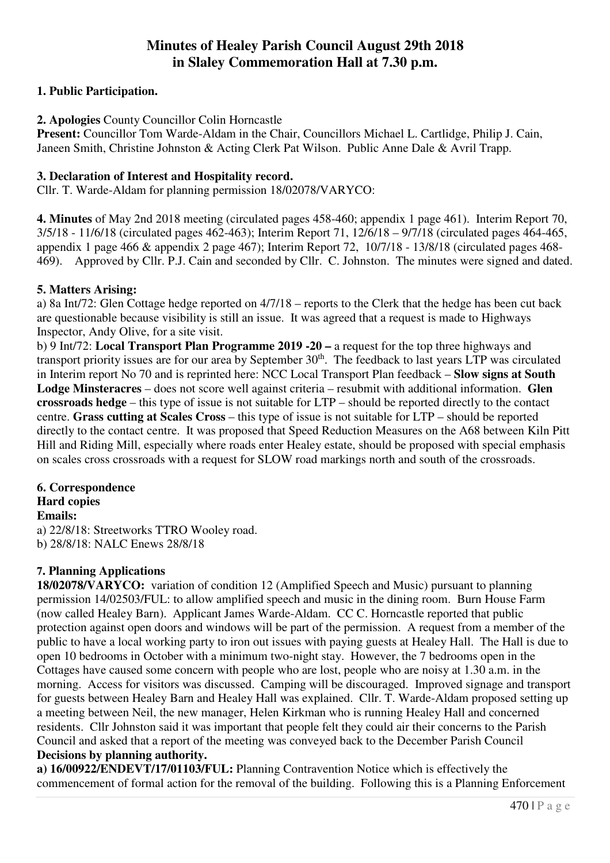# **Minutes of Healey Parish Council August 29th 2018 in Slaley Commemoration Hall at 7.30 p.m.**

# **1. Public Participation.**

# **2. Apologies** County Councillor Colin Horncastle

**Present:** Councillor Tom Warde-Aldam in the Chair, Councillors Michael L. Cartlidge, Philip J. Cain, Janeen Smith, Christine Johnston & Acting Clerk Pat Wilson. Public Anne Dale & Avril Trapp.

#### **3. Declaration of Interest and Hospitality record.**

Cllr. T. Warde-Aldam for planning permission 18/02078/VARYCO:

**4. Minutes** of May 2nd 2018 meeting (circulated pages 458-460; appendix 1 page 461). Interim Report 70, 3/5/18 - 11/6/18 (circulated pages 462-463); Interim Report 71, 12/6/18 – 9/7/18 (circulated pages 464-465, appendix 1 page 466 & appendix 2 page 467); Interim Report 72, 10/7/18 - 13/8/18 (circulated pages 468- 469). Approved by Cllr. P.J. Cain and seconded by Cllr. C. Johnston. The minutes were signed and dated.

#### **5. Matters Arising:**

a) 8a Int/72: Glen Cottage hedge reported on 4/7/18 – reports to the Clerk that the hedge has been cut back are questionable because visibility is still an issue. It was agreed that a request is made to Highways Inspector, Andy Olive, for a site visit.

b) 9 Int/72: **Local Transport Plan Programme 2019 -20 –** a request for the top three highways and transport priority issues are for our area by September 30<sup>th</sup>. The feedback to last years LTP was circulated in Interim report No 70 and is reprinted here: NCC Local Transport Plan feedback – **Slow signs at South Lodge Minsteracres** – does not score well against criteria – resubmit with additional information. **Glen crossroads hedge** – this type of issue is not suitable for LTP – should be reported directly to the contact centre. **Grass cutting at Scales Cross** – this type of issue is not suitable for LTP – should be reported directly to the contact centre. It was proposed that Speed Reduction Measures on the A68 between Kiln Pitt Hill and Riding Mill, especially where roads enter Healey estate, should be proposed with special emphasis on scales cross crossroads with a request for SLOW road markings north and south of the crossroads.

#### **6. Correspondence Hard copies Emails:**

a) 22/8/18: Streetworks TTRO Wooley road. b) 28/8/18: NALC Enews 28/8/18

# **7. Planning Applications**

**18/02078/VARYCO:** variation of condition 12 (Amplified Speech and Music) pursuant to planning permission 14/02503/FUL: to allow amplified speech and music in the dining room. Burn House Farm (now called Healey Barn). Applicant James Warde-Aldam. CC C. Horncastle reported that public protection against open doors and windows will be part of the permission. A request from a member of the public to have a local working party to iron out issues with paying guests at Healey Hall. The Hall is due to open 10 bedrooms in October with a minimum two-night stay. However, the 7 bedrooms open in the Cottages have caused some concern with people who are lost, people who are noisy at 1.30 a.m. in the morning. Access for visitors was discussed. Camping will be discouraged. Improved signage and transport for guests between Healey Barn and Healey Hall was explained. Cllr. T. Warde-Aldam proposed setting up a meeting between Neil, the new manager, Helen Kirkman who is running Healey Hall and concerned residents. Cllr Johnston said it was important that people felt they could air their concerns to the Parish Council and asked that a report of the meeting was conveyed back to the December Parish Council **Decisions by planning authority.** 

**a) 16/00922/ENDEVT/17/01103/FUL:** Planning Contravention Notice which is effectively the commencement of formal action for the removal of the building. Following this is a Planning Enforcement